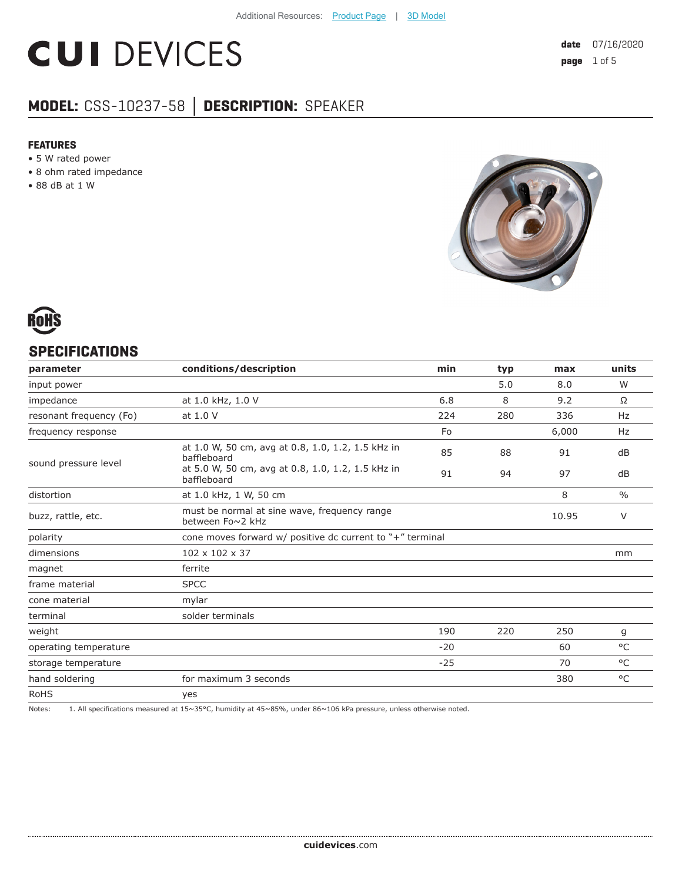# **CUI DEVICES**

### **MODEL:** CSS-10237-58 **│ DESCRIPTION:** SPEAKER

#### **FEATURES**

- 5 W rated power
- 8 ohm rated impedance
- 88 dB at 1 W





#### **SPECIFICATIONS**

| parameter               | conditions/description                                           | min   | typ | max   | units         |
|-------------------------|------------------------------------------------------------------|-------|-----|-------|---------------|
| input power             |                                                                  |       | 5.0 | 8.0   | W             |
| impedance               | at 1.0 kHz, 1.0 V                                                | 6.8   | 8   | 9.2   | Ω             |
| resonant frequency (Fo) | at 1.0 V                                                         | 224   | 280 | 336   | <b>Hz</b>     |
| frequency response      |                                                                  | Fo    |     | 6,000 | <b>Hz</b>     |
| sound pressure level    | at 1.0 W, 50 cm, avg at 0.8, 1.0, 1.2, 1.5 kHz in<br>baffleboard | 85    | 88  | 91    | dB            |
|                         | at 5.0 W, 50 cm, avg at 0.8, 1.0, 1.2, 1.5 kHz in<br>baffleboard | 91    | 94  | 97    | dB            |
| distortion              | at 1.0 kHz, 1 W, 50 cm                                           |       |     | 8     | $\frac{0}{0}$ |
| buzz, rattle, etc.      | must be normal at sine wave, frequency range<br>between Fo~2 kHz |       |     | 10.95 | V             |
| polarity                | cone moves forward w/ positive dc current to "+" terminal        |       |     |       |               |
| dimensions              | 102 x 102 x 37                                                   |       |     |       | mm            |
| magnet                  | ferrite                                                          |       |     |       |               |
| frame material          | <b>SPCC</b>                                                      |       |     |       |               |
| cone material           | mylar                                                            |       |     |       |               |
| terminal                | solder terminals                                                 |       |     |       |               |
| weight                  |                                                                  | 190   | 220 | 250   | g             |
| operating temperature   |                                                                  | $-20$ |     | 60    | °C            |
| storage temperature     |                                                                  | $-25$ |     | 70    | °C            |
| hand soldering          | for maximum 3 seconds                                            |       |     | 380   | °C            |
| <b>RoHS</b>             | yes                                                              |       |     |       |               |

Notes: 1. All specifications measured at 15~35°C, humidity at 45~85%, under 86~106 kPa pressure, unless otherwise noted.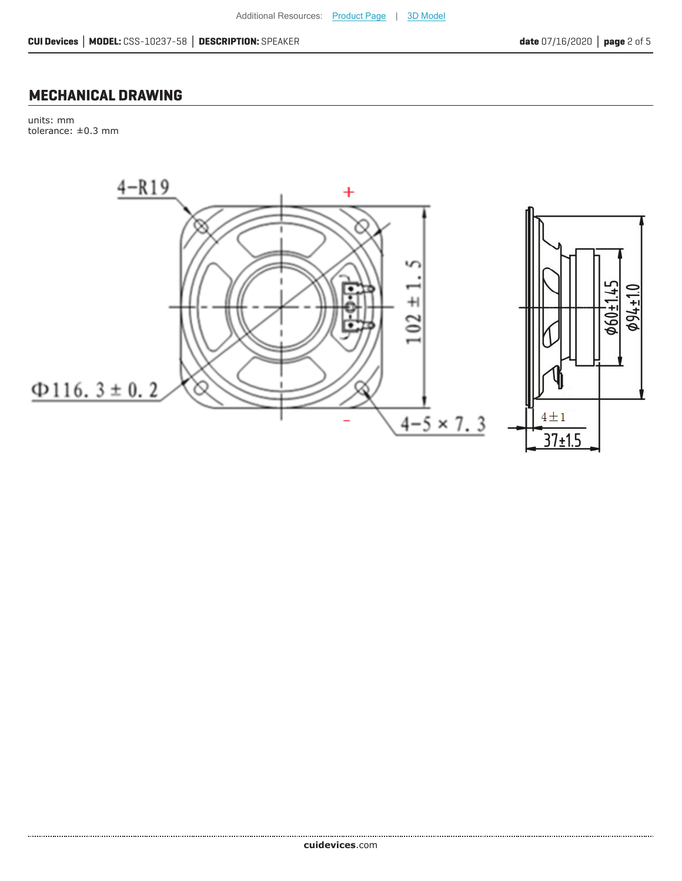#### **MECHANICAL DRAWING**

units: mm tolerance: ±0.3 mm

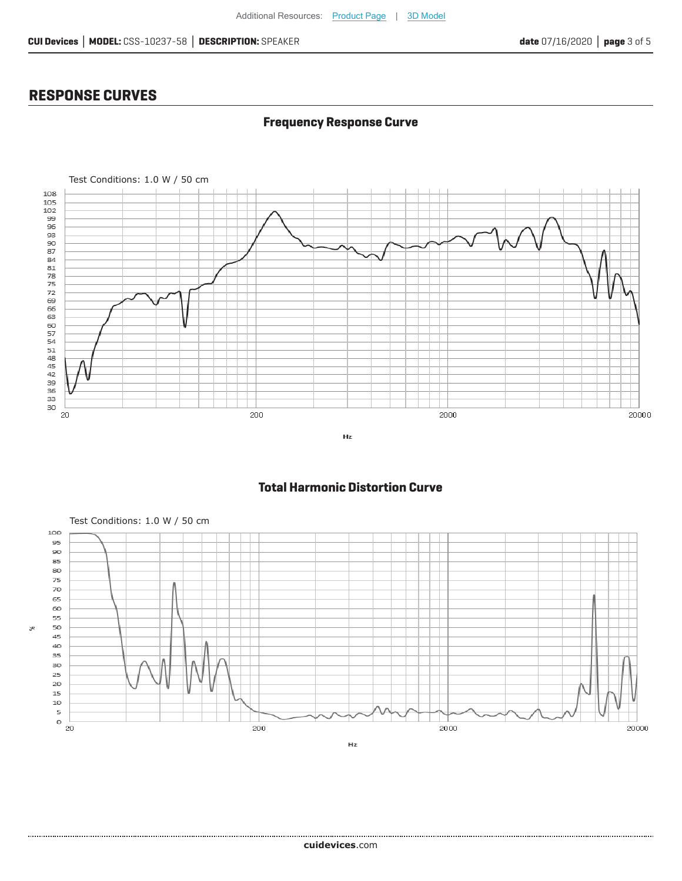**Frequency Response Curve**

#### **RESPONSE CURVES**

×,



#### **Total Harmonic Distortion Curve**



 $Hz$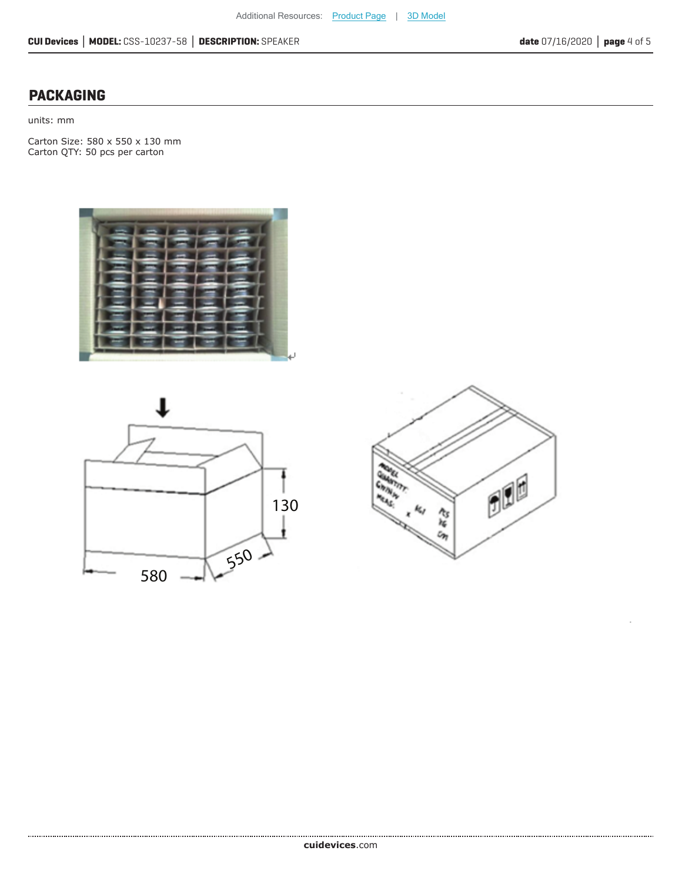#### **PACKAGING**

units: mm

Carton Size: 580 x 550 x 130 mm Carton QTY: 50 pcs per carton